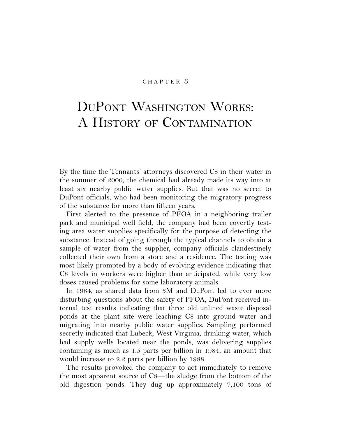## CHAPTER 3

## DUPONT WASHINGTON WORKS: A HISTORY OF CONTAMINATION

By the time the Tennants' attorneys discovered C8 in their water in the summer of 2000, the chemical had already made its way into at least six nearby public water supplies. But that was no secret to DuPont officials, who had been monitoring the migratory progress of the substance for more than fifteen years.

First alerted to the presence of PFOA in a neighboring trailer park and municipal well field, the company had been covertly testing area water supplies specifically for the purpose of detecting the substance. Instead of going through the typical channels to obtain a sample of water from the supplier, company officials clandestinely collected their own from a store and a residence. The testing was most likely prompted by a body of evolving evidence indicating that C8 levels in workers were higher than anticipated, while very low doses caused problems for some laboratory animals.

In 1984, as shared data from 3M and DuPont led to ever more disturbing questions about the safety of PFOA, DuPont received internal test results indicating that three old unlined waste disposal ponds at the plant site were leaching C8 into ground water and migrating into nearby public water supplies. Sampling performed secretly indicated that Lubeck, West Virginia, drinking water, which had supply wells located near the ponds, was delivering supplies containing as much as 1.5 parts per billion in 1984, an amount that would increase to 2.2 parts per billion by 1988.

The results provoked the company to act immediately to remove the most apparent source of C8—the sludge from the bottom of the old digestion ponds. They dug up approximately 7,100 tons of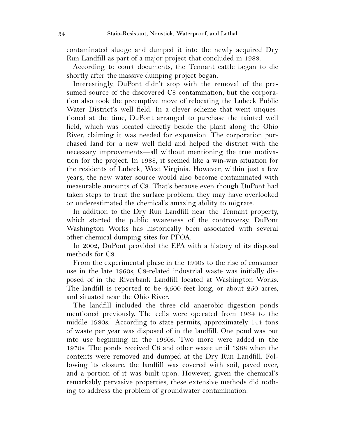contaminated sludge and dumped it into the newly acquired Dry Run Landfill as part of a major project that concluded in 1988.

According to court documents, the Tennant cattle began to die shortly after the massive dumping project began.

Interestingly, DuPont didn't stop with the removal of the presumed source of the discovered C8 contamination, but the corporation also took the preemptive move of relocating the Lubeck Public Water District's well field. In a clever scheme that went unquestioned at the time, DuPont arranged to purchase the tainted well field, which was located directly beside the plant along the Ohio River, claiming it was needed for expansion. The corporation purchased land for a new well field and helped the district with the necessary improvements—all without mentioning the true motivation for the project. In 1988, it seemed like a win-win situation for the residents of Lubeck, West Virginia. However, within just a few years, the new water source would also become contaminated with measurable amounts of C8. That's because even though DuPont had taken steps to treat the surface problem, they may have overlooked or underestimated the chemical's amazing ability to migrate.

In addition to the Dry Run Landfill near the Tennant property, which started the public awareness of the controversy, DuPont Washington Works has historically been associated with several other chemical dumping sites for PFOA.

In 2002, DuPont provided the EPA with a history of its disposal methods for C8.

From the experimental phase in the 1940s to the rise of consumer use in the late 1960s, C8-related industrial waste was initially disposed of in the Riverbank Landfill located at Washington Works. The landfill is reported to be 4,500 feet long, or about 250 acres, and situated near the Ohio River.

The landfill included the three old anaerobic digestion ponds mentioned previously. The cells were operated from 1964 to the middle 1980s.<sup>1</sup> According to state permits, approximately 144 tons of waste per year was disposed of in the landfill. One pond was put into use beginning in the 1950s. Two more were added in the 1970s. The ponds received C8 and other waste until 1988 when the contents were removed and dumped at the Dry Run Landfill. Following its closure, the landfill was covered with soil, paved over, and a portion of it was built upon. However, given the chemical's remarkably pervasive properties, these extensive methods did nothing to address the problem of groundwater contamination.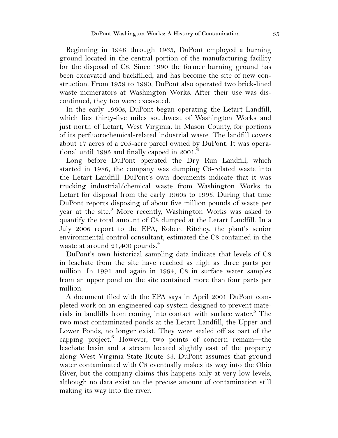Beginning in 1948 through 1965, DuPont employed a burning ground located in the central portion of the manufacturing facility for the disposal of C8. Since 1990 the former burning ground has been excavated and backfilled, and has become the site of new construction. From 1959 to 1990, DuPont also operated two brick-lined waste incinerators at Washington Works. After their use was discontinued, they too were excavated.

In the early 1960s, DuPont began operating the Letart Landfill, which lies thirty-five miles southwest of Washington Works and just north of Letart, West Virginia, in Mason County, for portions of its perfluorochemical-related industrial waste. The landfill covers about 17 acres of a 205-acre parcel owned by DuPont. It was operational until 1995 and finally capped in  $2001$ .

Long before DuPont operated the Dry Run Landfill, which started in 1986, the company was dumping C8-related waste into the Letart Landfill. DuPont's own documents indicate that it was trucking industrial/chemical waste from Washington Works to Letart for disposal from the early 1960s to 1995. During that time DuPont reports disposing of about five million pounds of waste per year at the site.<sup>3</sup> More recently, Washington Works was asked to quantify the total amount of C8 dumped at the Letart Landfill. In a July 2006 report to the EPA, Robert Ritchey, the plant's senior environmental control consultant, estimated the C8 contained in the waste at around  $21,400$  pounds.<sup>4</sup>

DuPont's own historical sampling data indicate that levels of C8 in leachate from the site have reached as high as three parts per million. In 1991 and again in 1994, C8 in surface water samples from an upper pond on the site contained more than four parts per million.

A document filed with the EPA says in April 2001 DuPont completed work on an engineered cap system designed to prevent materials in landfills from coming into contact with surface water. $5$  The two most contaminated ponds at the Letart Landfill, the Upper and Lower Ponds, no longer exist. They were sealed off as part of the capping project.<sup>6</sup> However, two points of concern remain—the leachate basin and a stream located slightly east of the property along West Virginia State Route 33. DuPont assumes that ground water contaminated with C8 eventually makes its way into the Ohio River, but the company claims this happens only at very low levels, although no data exist on the precise amount of contamination still making its way into the river.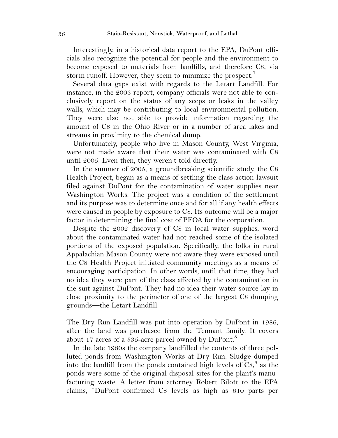Interestingly, in a historical data report to the EPA, DuPont officials also recognize the potential for people and the environment to become exposed to materials from landfills, and therefore C8, via storm runoff. However, they seem to minimize the prospect.<sup>7</sup>

Several data gaps exist with regards to the Letart Landfill. For instance, in the 2003 report, company officials were not able to conclusively report on the status of any seeps or leaks in the valley walls, which may be contributing to local environmental pollution. They were also not able to provide information regarding the amount of C8 in the Ohio River or in a number of area lakes and streams in proximity to the chemical dump.

Unfortunately, people who live in Mason County, West Virginia, were not made aware that their water was contaminated with C8 until 2005. Even then, they weren't told directly.

In the summer of 2005, a groundbreaking scientific study, the C8 Health Project, began as a means of settling the class action lawsuit filed against DuPont for the contamination of water supplies near Washington Works. The project was a condition of the settlement and its purpose was to determine once and for all if any health effects were caused in people by exposure to C8. Its outcome will be a major factor in determining the final cost of PFOA for the corporation.

Despite the 2002 discovery of C8 in local water supplies, word about the contaminated water had not reached some of the isolated portions of the exposed population. Specifically, the folks in rural Appalachian Mason County were not aware they were exposed until the C8 Health Project initiated community meetings as a means of encouraging participation. In other words, until that time, they had no idea they were part of the class affected by the contamination in the suit against DuPont. They had no idea their water source lay in close proximity to the perimeter of one of the largest C8 dumping grounds—the Letart Landfill.

The Dry Run Landfill was put into operation by DuPont in 1986, after the land was purchased from the Tennant family. It covers about 17 acres of a 535-acre parcel owned by DuPont.<sup>8</sup>

In the late 1980s the company landfilled the contents of three polluted ponds from Washington Works at Dry Run. Sludge dumped into the landfill from the ponds contained high levels of  $Cs<sub>1</sub><sup>9</sup>$  as the ponds were some of the original disposal sites for the plant's manufacturing waste. A letter from attorney Robert Bilott to the EPA claims, ''DuPont confirmed C8 levels as high as 610 parts per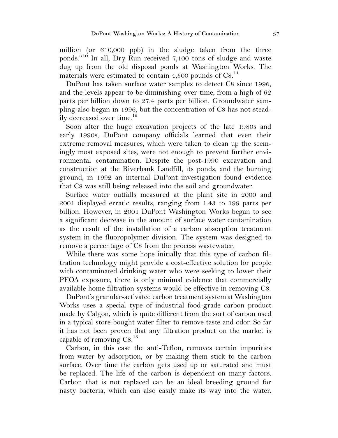million (or 610,000 ppb) in the sludge taken from the three ponds."<sup>10</sup> In all, Dry Run received 7,100 tons of sludge and waste dug up from the old disposal ponds at Washington Works. The materials were estimated to contain  $4,500$  pounds of  $Cs$ .<sup>11</sup>

DuPont has taken surface water samples to detect C8 since 1996, and the levels appear to be diminishing over time, from a high of 62 parts per billion down to 27.4 parts per billion. Groundwater sampling also began in 1996, but the concentration of C8 has not steadily decreased over time.<sup>12</sup>

Soon after the huge excavation projects of the late 1980s and early 1990s, DuPont company officials learned that even their extreme removal measures, which were taken to clean up the seemingly most exposed sites, were not enough to prevent further environmental contamination. Despite the post-1990 excavation and construction at the Riverbank Landfill, its ponds, and the burning ground, in 1992 an internal DuPont investigation found evidence that C8 was still being released into the soil and groundwater.

Surface water outfalls measured at the plant site in 2000 and 2001 displayed erratic results, ranging from 1.43 to 199 parts per billion. However, in 2001 DuPont Washington Works began to see a significant decrease in the amount of surface water contamination as the result of the installation of a carbon absorption treatment system in the fluoropolymer division. The system was designed to remove a percentage of C8 from the process wastewater.

While there was some hope initially that this type of carbon filtration technology might provide a cost-effective solution for people with contaminated drinking water who were seeking to lower their PFOA exposure, there is only minimal evidence that commercially available home filtration systems would be effective in removing C8.

DuPont's granular-activated carbon treatment system at Washington Works uses a special type of industrial food-grade carbon product made by Calgon, which is quite different from the sort of carbon used in a typical store-bought water filter to remove taste and odor. So far it has not been proven that any filtration product on the market is capable of removing  $Cs<sup>13</sup>$ .

Carbon, in this case the anti-Teflon, removes certain impurities from water by adsorption, or by making them stick to the carbon surface. Over time the carbon gets used up or saturated and must be replaced. The life of the carbon is dependent on many factors. Carbon that is not replaced can be an ideal breeding ground for nasty bacteria, which can also easily make its way into the water.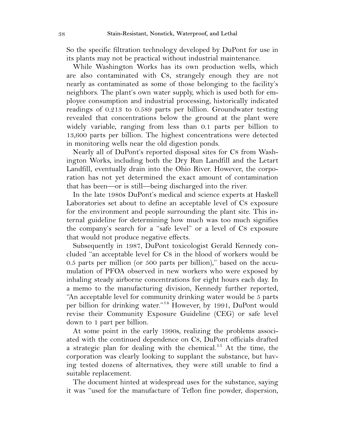So the specific filtration technology developed by DuPont for use in its plants may not be practical without industrial maintenance.

While Washington Works has its own production wells, which are also contaminated with C8, strangely enough they are not nearly as contaminated as some of those belonging to the facility's neighbors. The plant's own water supply, which is used both for employee consumption and industrial processing, historically indicated readings of 0.213 to 0.589 parts per billion. Groundwater testing revealed that concentrations below the ground at the plant were widely variable, ranging from less than 0.1 parts per billion to 13,600 parts per billion. The highest concentrations were detected in monitoring wells near the old digestion ponds.

Nearly all of DuPont's reported disposal sites for C8 from Washington Works, including both the Dry Run Landfill and the Letart Landfill, eventually drain into the Ohio River. However, the corporation has not yet determined the exact amount of contamination that has been—or is still—being discharged into the river.

In the late 1980s DuPont's medical and science experts at Haskell Laboratories set about to define an acceptable level of C8 exposure for the environment and people surrounding the plant site. This internal guideline for determining how much was too much signifies the company's search for a ''safe level'' or a level of C8 exposure that would not produce negative effects.

Subsequently in 1987, DuPont toxicologist Gerald Kennedy concluded ''an acceptable level for C8 in the blood of workers would be 0.5 parts per million (or 500 parts per billion),'' based on the accumulation of PFOA observed in new workers who were exposed by inhaling steady airborne concentrations for eight hours each day. In a memo to the manufacturing division, Kennedy further reported, ''An acceptable level for community drinking water would be 5 parts per billion for drinking water."<sup>14</sup> However, by 1991, DuPont would revise their Community Exposure Guideline (CEG) or safe level down to 1 part per billion.

At some point in the early 1990s, realizing the problems associated with the continued dependence on C8, DuPont officials drafted a strategic plan for dealing with the chemical.<sup>15</sup> At the time, the corporation was clearly looking to supplant the substance, but having tested dozens of alternatives, they were still unable to find a suitable replacement.

The document hinted at widespread uses for the substance, saying it was ''used for the manufacture of Teflon fine powder, dispersion,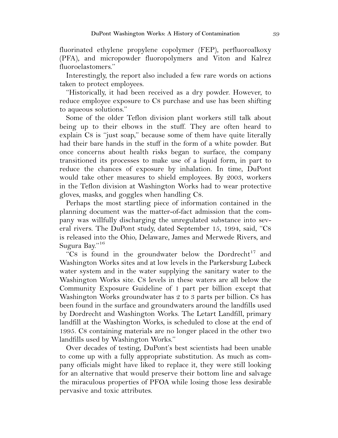fluorinated ethylene propylene copolymer (FEP), perfluoroalkoxy (PFA), and micropowder fluoropolymers and Viton and Kalrez fluoroelastomers.''

Interestingly, the report also included a few rare words on actions taken to protect employees.

''Historically, it had been received as a dry powder. However, to reduce employee exposure to C8 purchase and use has been shifting to aqueous solutions.''

Some of the older Teflon division plant workers still talk about being up to their elbows in the stuff. They are often heard to explain C8 is "just soap," because some of them have quite literally had their bare hands in the stuff in the form of a white powder. But once concerns about health risks began to surface, the company transitioned its processes to make use of a liquid form, in part to reduce the chances of exposure by inhalation. In time, DuPont would take other measures to shield employees. By 2003, workers in the Teflon division at Washington Works had to wear protective gloves, masks, and goggles when handling C8.

Perhaps the most startling piece of information contained in the planning document was the matter-of-fact admission that the company was willfully discharging the unregulated substance into several rivers. The DuPont study, dated September 15, 1994, said, ''C8 is released into the Ohio, Delaware, James and Merwede Rivers, and Sugura Bay."<sup>16</sup>

"C8 is found in the groundwater below the Dordrecht<sup>17</sup> and Washington Works sites and at low levels in the Parkersburg Lubeck water system and in the water supplying the sanitary water to the Washington Works site. C8 levels in these waters are all below the Community Exposure Guideline of 1 part per billion except that Washington Works groundwater has 2 to 3 parts per billion. C8 has been found in the surface and groundwaters around the landfills used by Dordrecht and Washington Works. The Letart Landfill, primary landfill at the Washington Works, is scheduled to close at the end of 1995. C8 containing materials are no longer placed in the other two landfills used by Washington Works.''

Over decades of testing, DuPont's best scientists had been unable to come up with a fully appropriate substitution. As much as company officials might have liked to replace it, they were still looking for an alternative that would preserve their bottom line and salvage the miraculous properties of PFOA while losing those less desirable pervasive and toxic attributes.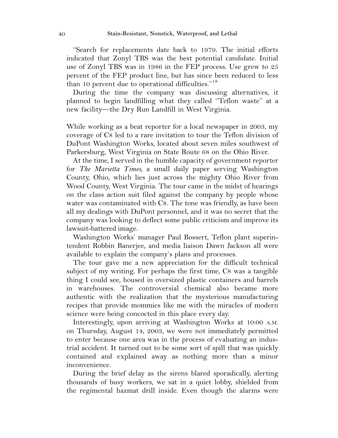''Search for replacements date back to 1979. The initial efforts indicated that Zonyl TBS was the best potential candidate. Initial use of Zonyl TBS was in 1986 in the FEP process. Use grew to 25 percent of the FEP product line, but has since been reduced to less than 10 percent due to operational difficulties."<sup>18</sup>

During the time the company was discussing alternatives, it planned to begin landfilling what they called ''Teflon waste'' at a new facility—the Dry Run Landfill in West Virginia.

While working as a beat reporter for a local newspaper in 2003, my coverage of C8 led to a rare invitation to tour the Teflon division of DuPont Washington Works, located about seven miles southwest of Parkersburg, West Virginia on State Route 68 on the Ohio River.

At the time, I served in the humble capacity of government reporter for *The Marietta Times*, a small daily paper serving Washington County, Ohio, which lies just across the mighty Ohio River from Wood County, West Virginia. The tour came in the midst of hearings on the class action suit filed against the company by people whose water was contaminated with C8. The tone was friendly, as have been all my dealings with DuPont personnel, and it was no secret that the company was looking to deflect some public criticism and improve its lawsuit-battered image.

Washington Works' manager Paul Bossert, Teflon plant superintendent Robbin Banerjee, and media liaison Dawn Jackson all were available to explain the company's plans and processes.

The tour gave me a new appreciation for the difficult technical subject of my writing. For perhaps the first time, C8 was a tangible thing I could see, housed in oversized plastic containers and barrels in warehouses. The controversial chemical also became more authentic with the realization that the mysterious manufacturing recipes that provide mommies like me with the miracles of modern science were being concocted in this place every day.

Interestingly, upon arriving at Washington Works at 10:00 A.M. on Thursday, August 14, 2003, we were not immediately permitted to enter because one area was in the process of evaluating an industrial accident. It turned out to be some sort of spill that was quickly contained and explained away as nothing more than a minor inconvenience.

During the brief delay as the sirens blared sporadically, alerting thousands of busy workers, we sat in a quiet lobby, shielded from the regimental hazmat drill inside. Even though the alarms were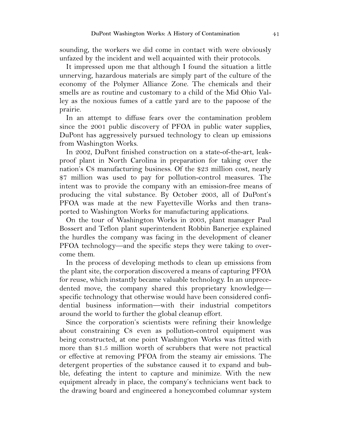sounding, the workers we did come in contact with were obviously unfazed by the incident and well acquainted with their protocols.

It impressed upon me that although I found the situation a little unnerving, hazardous materials are simply part of the culture of the economy of the Polymer Alliance Zone. The chemicals and their smells are as routine and customary to a child of the Mid Ohio Valley as the noxious fumes of a cattle yard are to the papoose of the prairie.

In an attempt to diffuse fears over the contamination problem since the 2001 public discovery of PFOA in public water supplies, DuPont has aggressively pursued technology to clean up emissions from Washington Works.

In 2002, DuPont finished construction on a state-of-the-art, leakproof plant in North Carolina in preparation for taking over the nation's C8 manufacturing business. Of the \$23 million cost, nearly \$7 million was used to pay for pollution-control measures. The intent was to provide the company with an emission-free means of producing the vital substance. By October 2003, all of DuPont's PFOA was made at the new Fayetteville Works and then transported to Washington Works for manufacturing applications.

On the tour of Washington Works in 2003, plant manager Paul Bossert and Teflon plant superintendent Robbin Banerjee explained the hurdles the company was facing in the development of cleaner PFOA technology—and the specific steps they were taking to overcome them.

In the process of developing methods to clean up emissions from the plant site, the corporation discovered a means of capturing PFOA for reuse, which instantly became valuable technology. In an unprecedented move, the company shared this proprietary knowledge specific technology that otherwise would have been considered confidential business information—with their industrial competitors around the world to further the global cleanup effort.

Since the corporation's scientists were refining their knowledge about constraining C8 even as pollution-control equipment was being constructed, at one point Washington Works was fitted with more than \$1.5 million worth of scrubbers that were not practical or effective at removing PFOA from the steamy air emissions. The detergent properties of the substance caused it to expand and bubble, defeating the intent to capture and minimize. With the new equipment already in place, the company's technicians went back to the drawing board and engineered a honeycombed columnar system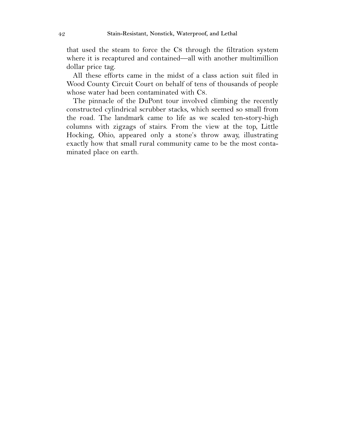that used the steam to force the C8 through the filtration system where it is recaptured and contained—all with another multimillion dollar price tag.

All these efforts came in the midst of a class action suit filed in Wood County Circuit Court on behalf of tens of thousands of people whose water had been contaminated with C8.

The pinnacle of the DuPont tour involved climbing the recently constructed cylindrical scrubber stacks, which seemed so small from the road. The landmark came to life as we scaled ten-story-high columns with zigzags of stairs. From the view at the top, Little Hocking, Ohio, appeared only a stone's throw away, illustrating exactly how that small rural community came to be the most contaminated place on earth.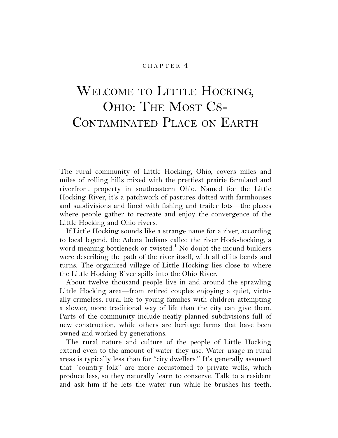## CHAPTER 4

## WELCOME TO LITTLE HOCKING, OHIO: THE MOST C8- CONTAMINATED PLACE ON EARTH

The rural community of Little Hocking, Ohio, covers miles and miles of rolling hills mixed with the prettiest prairie farmland and riverfront property in southeastern Ohio. Named for the Little Hocking River, it's a patchwork of pastures dotted with farmhouses and subdivisions and lined with fishing and trailer lots—the places where people gather to recreate and enjoy the convergence of the Little Hocking and Ohio rivers.

If Little Hocking sounds like a strange name for a river, according to local legend, the Adena Indians called the river Hock-hocking, a word meaning bottleneck or twisted.<sup>1</sup> No doubt the mound builders were describing the path of the river itself, with all of its bends and turns. The organized village of Little Hocking lies close to where the Little Hocking River spills into the Ohio River.

About twelve thousand people live in and around the sprawling Little Hocking area—from retired couples enjoying a quiet, virtually crimeless, rural life to young families with children attempting a slower, more traditional way of life than the city can give them. Parts of the community include neatly planned subdivisions full of new construction, while others are heritage farms that have been owned and worked by generations.

The rural nature and culture of the people of Little Hocking extend even to the amount of water they use. Water usage in rural areas is typically less than for ''city dwellers.'' It's generally assumed that ''country folk'' are more accustomed to private wells, which produce less, so they naturally learn to conserve. Talk to a resident and ask him if he lets the water run while he brushes his teeth.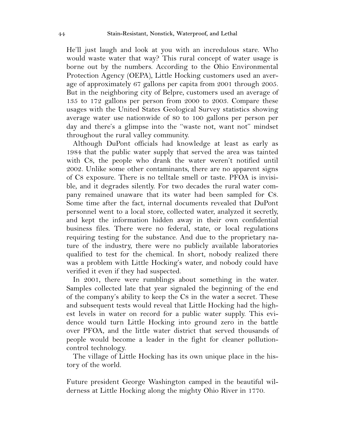He'll just laugh and look at you with an incredulous stare. Who would waste water that way? This rural concept of water usage is borne out by the numbers. According to the Ohio Environmental Protection Agency (OEPA), Little Hocking customers used an average of approximately 67 gallons per capita from 2001 through 2005. But in the neighboring city of Belpre, customers used an average of 135 to 172 gallons per person from 2000 to 2003. Compare these usages with the United States Geological Survey statistics showing average water use nationwide of 80 to 100 gallons per person per day and there's a glimpse into the ''waste not, want not'' mindset throughout the rural valley community.

Although DuPont officials had knowledge at least as early as 1984 that the public water supply that served the area was tainted with C8, the people who drank the water weren't notified until 2002. Unlike some other contaminants, there are no apparent signs of C8 exposure. There is no telltale smell or taste. PFOA is invisible, and it degrades silently. For two decades the rural water company remained unaware that its water had been sampled for C8. Some time after the fact, internal documents revealed that DuPont personnel went to a local store, collected water, analyzed it secretly, and kept the information hidden away in their own confidential business files. There were no federal, state, or local regulations requiring testing for the substance. And due to the proprietary nature of the industry, there were no publicly available laboratories qualified to test for the chemical. In short, nobody realized there was a problem with Little Hocking's water, and nobody could have verified it even if they had suspected.

In 2001, there were rumblings about something in the water. Samples collected late that year signaled the beginning of the end of the company's ability to keep the C8 in the water a secret. These and subsequent tests would reveal that Little Hocking had the highest levels in water on record for a public water supply. This evidence would turn Little Hocking into ground zero in the battle over PFOA, and the little water district that served thousands of people would become a leader in the fight for cleaner pollutioncontrol technology.

The village of Little Hocking has its own unique place in the history of the world.

Future president George Washington camped in the beautiful wilderness at Little Hocking along the mighty Ohio River in 1770.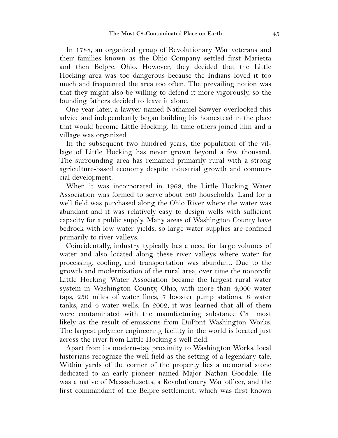In 1788, an organized group of Revolutionary War veterans and their families known as the Ohio Company settled first Marietta and then Belpre, Ohio. However, they decided that the Little Hocking area was too dangerous because the Indians loved it too much and frequented the area too often. The prevailing notion was that they might also be willing to defend it more vigorously, so the founding fathers decided to leave it alone.

One year later, a lawyer named Nathaniel Sawyer overlooked this advice and independently began building his homestead in the place that would become Little Hocking. In time others joined him and a village was organized.

In the subsequent two hundred years, the population of the village of Little Hocking has never grown beyond a few thousand. The surrounding area has remained primarily rural with a strong agriculture-based economy despite industrial growth and commercial development.

When it was incorporated in 1968, the Little Hocking Water Association was formed to serve about 360 households. Land for a well field was purchased along the Ohio River where the water was abundant and it was relatively easy to design wells with sufficient capacity for a public supply. Many areas of Washington County have bedrock with low water yields, so large water supplies are confined primarily to river valleys.

Coincidentally, industry typically has a need for large volumes of water and also located along these river valleys where water for processing, cooling, and transportation was abundant. Due to the growth and modernization of the rural area, over time the nonprofit Little Hocking Water Association became the largest rural water system in Washington County, Ohio, with more than 4,000 water taps, 250 miles of water lines, 7 booster pump stations, 8 water tanks, and 4 water wells. In 2002, it was learned that all of them were contaminated with the manufacturing substance C8—most likely as the result of emissions from DuPont Washington Works. The largest polymer engineering facility in the world is located just across the river from Little Hocking's well field.

Apart from its modern-day proximity to Washington Works, local historians recognize the well field as the setting of a legendary tale. Within yards of the corner of the property lies a memorial stone dedicated to an early pioneer named Major Nathan Goodale. He was a native of Massachusetts, a Revolutionary War officer, and the first commandant of the Belpre settlement, which was first known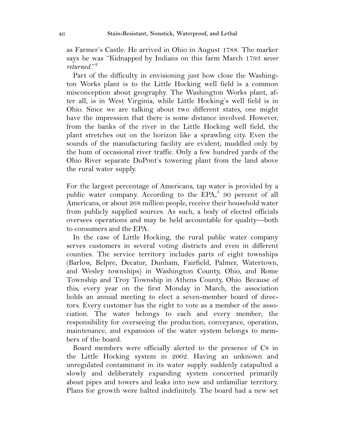as Farmer's Castle. He arrived in Ohio in August 1788. The marker says he was "Kidnapped by Indians on this farm March 1793 never returned."<sup>2</sup>

Part of the difficulty in envisioning just how close the Washington Works plant is to the Little Hocking well field is a common misconception about geography. The Washington Works plant, after all, is in West Virginia, while Little Hocking's well field is in Ohio. Since we are talking about two different states, one might have the impression that there is some distance involved. However, from the banks of the river in the Little Hocking well field, the plant stretches out on the horizon like a sprawling city. Even the sounds of the manufacturing facility are evident, muddled only by the hum of occasional river traffic. Only a few hundred yards of the Ohio River separate DuPont's towering plant from the land above the rural water supply.

For the largest percentage of Americans, tap water is provided by a public water company. According to the  $EPA$ ,<sup>3</sup> 90 percent of all Americans, or about 268 million people, receive their household water from publicly supplied sources. As such, a body of elected officials oversees operations and may be held accountable for quality—both to consumers and the EPA.

In the case of Little Hocking, the rural public water company serves customers in several voting districts and even in different counties. The service territory includes parts of eight townships (Barlow, Belpre, Decatur, Dunham, Fairfield, Palmer, Watertown, and Wesley townships) in Washington County, Ohio, and Rome Township and Troy Township in Athens County, Ohio. Because of this, every year on the first Monday in March, the association holds an annual meeting to elect a seven-member board of directors. Every customer has the right to vote as a member of the association. The water belongs to each and every member; the responsibility for overseeing the production, conveyance, operation, maintenance, and expansion of the water system belongs to members of the board.

Board members were officially alerted to the presence of C8 in the Little Hocking system in 2002. Having an unknown and unregulated contaminant in its water supply suddenly catapulted a slowly and deliberately expanding system concerned primarily about pipes and towers and leaks into new and unfamiliar territory. Plans for growth were halted indefinitely. The board had a new set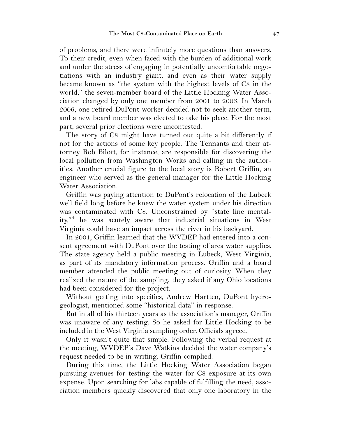of problems, and there were infinitely more questions than answers. To their credit, even when faced with the burden of additional work and under the stress of engaging in potentially uncomfortable negotiations with an industry giant, and even as their water supply became known as ''the system with the highest levels of C8 in the world,'' the seven-member board of the Little Hocking Water Association changed by only one member from 2001 to 2006. In March 2006, one retired DuPont worker decided not to seek another term, and a new board member was elected to take his place. For the most part, several prior elections were uncontested.

The story of C8 might have turned out quite a bit differently if not for the actions of some key people. The Tennants and their attorney Rob Bilott, for instance, are responsible for discovering the local pollution from Washington Works and calling in the authorities. Another crucial figure to the local story is Robert Griffin, an engineer who served as the general manager for the Little Hocking Water Association.

Griffin was paying attention to DuPont's relocation of the Lubeck well field long before he knew the water system under his direction was contaminated with C8. Unconstrained by ''state line mentality,"<sup>4</sup> he was acutely aware that industrial situations in West Virginia could have an impact across the river in his backyard.

In 2001, Griffin learned that the WVDEP had entered into a consent agreement with DuPont over the testing of area water supplies. The state agency held a public meeting in Lubeck, West Virginia, as part of its mandatory information process. Griffin and a board member attended the public meeting out of curiosity. When they realized the nature of the sampling, they asked if any Ohio locations had been considered for the project.

Without getting into specifics, Andrew Hartten, DuPont hydrogeologist, mentioned some ''historical data'' in response.

But in all of his thirteen years as the association's manager, Griffin was unaware of any testing. So he asked for Little Hocking to be included in the West Virginia sampling order. Officials agreed.

Only it wasn't quite that simple. Following the verbal request at the meeting, WVDEP's Dave Watkins decided the water company's request needed to be in writing. Griffin complied.

During this time, the Little Hocking Water Association began pursuing avenues for testing the water for C8 exposure at its own expense. Upon searching for labs capable of fulfilling the need, association members quickly discovered that only one laboratory in the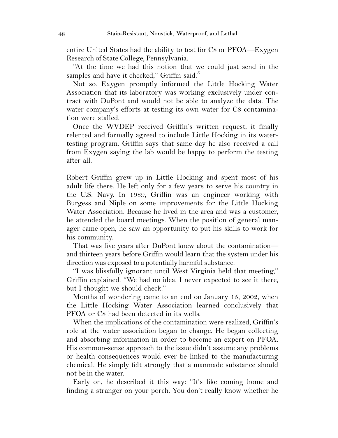entire United States had the ability to test for C8 or PFOA—Exygen Research of State College, Pennsylvania.

"At the time we had this notion that we could just send in the samples and have it checked," Griffin said. $5$ 

Not so. Exygen promptly informed the Little Hocking Water Association that its laboratory was working exclusively under contract with DuPont and would not be able to analyze the data. The water company's efforts at testing its own water for C8 contamination were stalled.

Once the WVDEP received Griffin's written request, it finally relented and formally agreed to include Little Hocking in its watertesting program. Griffin says that same day he also received a call from Exygen saying the lab would be happy to perform the testing after all.

Robert Griffin grew up in Little Hocking and spent most of his adult life there. He left only for a few years to serve his country in the U.S. Navy. In 1989, Griffin was an engineer working with Burgess and Niple on some improvements for the Little Hocking Water Association. Because he lived in the area and was a customer, he attended the board meetings. When the position of general manager came open, he saw an opportunity to put his skills to work for his community.

That was five years after DuPont knew about the contamination and thirteen years before Griffin would learn that the system under his direction was exposed to a potentially harmful substance.

''I was blissfully ignorant until West Virginia held that meeting,'' Griffin explained. ''We had no idea. I never expected to see it there, but I thought we should check.''

Months of wondering came to an end on January 15, 2002, when the Little Hocking Water Association learned conclusively that PFOA or C8 had been detected in its wells.

When the implications of the contamination were realized, Griffin's role at the water association began to change. He began collecting and absorbing information in order to become an expert on PFOA. His common-sense approach to the issue didn't assume any problems or health consequences would ever be linked to the manufacturing chemical. He simply felt strongly that a manmade substance should not be in the water.

Early on, he described it this way: ''It's like coming home and finding a stranger on your porch. You don't really know whether he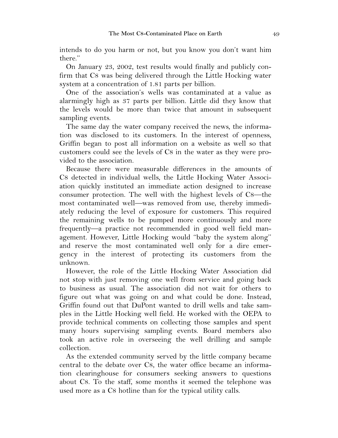intends to do you harm or not, but you know you don't want him there.''

On January 23, 2002, test results would finally and publicly confirm that C8 was being delivered through the Little Hocking water system at a concentration of 1.81 parts per billion.

One of the association's wells was contaminated at a value as alarmingly high as 37 parts per billion. Little did they know that the levels would be more than twice that amount in subsequent sampling events.

The same day the water company received the news, the information was disclosed to its customers. In the interest of openness, Griffin began to post all information on a website as well so that customers could see the levels of C8 in the water as they were provided to the association.

Because there were measurable differences in the amounts of C8 detected in individual wells, the Little Hocking Water Association quickly instituted an immediate action designed to increase consumer protection. The well with the highest levels of C8—the most contaminated well—was removed from use, thereby immediately reducing the level of exposure for customers. This required the remaining wells to be pumped more continuously and more frequently—a practice not recommended in good well field management. However, Little Hocking would ''baby the system along'' and reserve the most contaminated well only for a dire emergency in the interest of protecting its customers from the unknown.

However, the role of the Little Hocking Water Association did not stop with just removing one well from service and going back to business as usual. The association did not wait for others to figure out what was going on and what could be done. Instead, Griffin found out that DuPont wanted to drill wells and take samples in the Little Hocking well field. He worked with the OEPA to provide technical comments on collecting those samples and spent many hours supervising sampling events. Board members also took an active role in overseeing the well drilling and sample collection.

As the extended community served by the little company became central to the debate over C8, the water office became an information clearinghouse for consumers seeking answers to questions about C8. To the staff, some months it seemed the telephone was used more as a C8 hotline than for the typical utility calls.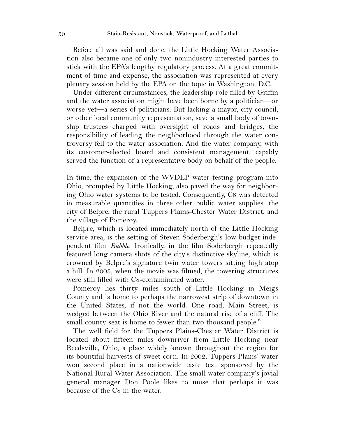Before all was said and done, the Little Hocking Water Association also became one of only two nonindustry interested parties to stick with the EPA's lengthy regulatory process. At a great commitment of time and expense, the association was represented at every plenary session held by the EPA on the topic in Washington, D.C.

Under different circumstances, the leadership role filled by Griffin and the water association might have been borne by a politician—or worse yet—a series of politicians. But lacking a mayor, city council, or other local community representation, save a small body of township trustees charged with oversight of roads and bridges, the responsibility of leading the neighborhood through the water controversy fell to the water association. And the water company, with its customer-elected board and consistent management, capably served the function of a representative body on behalf of the people.

In time, the expansion of the WVDEP water-testing program into Ohio, prompted by Little Hocking, also paved the way for neighboring Ohio water systems to be tested. Consequently, C8 was detected in measurable quantities in three other public water supplies: the city of Belpre, the rural Tuppers Plains-Chester Water District, and the village of Pomeroy.

Belpre, which is located immediately north of the Little Hocking service area, is the setting of Steven Soderbergh's low-budget independent film Bubble. Ironically, in the film Soderbergh repeatedly featured long camera shots of the city's distinctive skyline, which is crowned by Belpre's signature twin water towers sitting high atop a hill. In 2005, when the movie was filmed, the towering structures were still filled with C8-contaminated water.

Pomeroy lies thirty miles south of Little Hocking in Meigs County and is home to perhaps the narrowest strip of downtown in the United States, if not the world. One road, Main Street, is wedged between the Ohio River and the natural rise of a cliff. The small county seat is home to fewer than two thousand people.<sup>6</sup>

The well field for the Tuppers Plains-Chester Water District is located about fifteen miles downriver from Little Hocking near Reedsville, Ohio, a place widely known throughout the region for its bountiful harvests of sweet corn. In 2002, Tuppers Plains' water won second place in a nationwide taste test sponsored by the National Rural Water Association. The small water company's jovial general manager Don Poole likes to muse that perhaps it was because of the C8 in the water.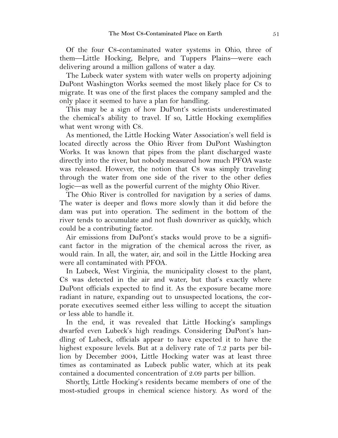Of the four C8-contaminated water systems in Ohio, three of them—Little Hocking, Belpre, and Tuppers Plains—were each delivering around a million gallons of water a day.

The Lubeck water system with water wells on property adjoining DuPont Washington Works seemed the most likely place for C8 to migrate. It was one of the first places the company sampled and the only place it seemed to have a plan for handling.

This may be a sign of how DuPont's scientists underestimated the chemical's ability to travel. If so, Little Hocking exemplifies what went wrong with C8.

As mentioned, the Little Hocking Water Association's well field is located directly across the Ohio River from DuPont Washington Works. It was known that pipes from the plant discharged waste directly into the river, but nobody measured how much PFOA waste was released. However, the notion that C8 was simply traveling through the water from one side of the river to the other defies logic—as well as the powerful current of the mighty Ohio River.

The Ohio River is controlled for navigation by a series of dams. The water is deeper and flows more slowly than it did before the dam was put into operation. The sediment in the bottom of the river tends to accumulate and not flush downriver as quickly, which could be a contributing factor.

Air emissions from DuPont's stacks would prove to be a significant factor in the migration of the chemical across the river, as would rain. In all, the water, air, and soil in the Little Hocking area were all contaminated with PFOA.

In Lubeck, West Virginia, the municipality closest to the plant, C8 was detected in the air and water, but that's exactly where DuPont officials expected to find it. As the exposure became more radiant in nature, expanding out to unsuspected locations, the corporate executives seemed either less willing to accept the situation or less able to handle it.

In the end, it was revealed that Little Hocking's samplings dwarfed even Lubeck's high readings. Considering DuPont's handling of Lubeck, officials appear to have expected it to have the highest exposure levels. But at a delivery rate of 7.2 parts per billion by December 2004, Little Hocking water was at least three times as contaminated as Lubeck public water, which at its peak contained a documented concentration of 2.09 parts per billion.

Shortly, Little Hocking's residents became members of one of the most-studied groups in chemical science history. As word of the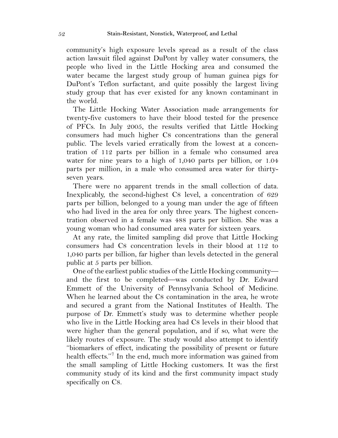community's high exposure levels spread as a result of the class action lawsuit filed against DuPont by valley water consumers, the people who lived in the Little Hocking area and consumed the water became the largest study group of human guinea pigs for DuPont's Teflon surfactant, and quite possibly the largest living study group that has ever existed for any known contaminant in the world.

The Little Hocking Water Association made arrangements for twenty-five customers to have their blood tested for the presence of PFCs. In July 2005, the results verified that Little Hocking consumers had much higher C8 concentrations than the general public. The levels varied erratically from the lowest at a concentration of 112 parts per billion in a female who consumed area water for nine years to a high of 1,040 parts per billion, or 1.04 parts per million, in a male who consumed area water for thirtyseven years.

There were no apparent trends in the small collection of data. Inexplicably, the second-highest C8 level, a concentration of 629 parts per billion, belonged to a young man under the age of fifteen who had lived in the area for only three years. The highest concentration observed in a female was 488 parts per billion. She was a young woman who had consumed area water for sixteen years.

At any rate, the limited sampling did prove that Little Hocking consumers had C8 concentration levels in their blood at 112 to 1,040 parts per billion, far higher than levels detected in the general public at 5 parts per billion.

One of the earliest public studies of the Little Hocking community and the first to be completed—was conducted by Dr. Edward Emmett of the University of Pennsylvania School of Medicine. When he learned about the C8 contamination in the area, he wrote and secured a grant from the National Institutes of Health. The purpose of Dr. Emmett's study was to determine whether people who live in the Little Hocking area had C8 levels in their blood that were higher than the general population, and if so, what were the likely routes of exposure. The study would also attempt to identify ''biomarkers of effect, indicating the possibility of present or future health effects."<sup>7</sup> In the end, much more information was gained from the small sampling of Little Hocking customers. It was the first community study of its kind and the first community impact study specifically on C8.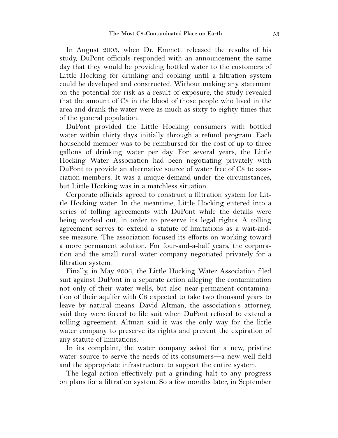In August 2005, when Dr. Emmett released the results of his study, DuPont officials responded with an announcement the same day that they would be providing bottled water to the customers of Little Hocking for drinking and cooking until a filtration system could be developed and constructed. Without making any statement on the potential for risk as a result of exposure, the study revealed that the amount of C8 in the blood of those people who lived in the area and drank the water were as much as sixty to eighty times that of the general population.

DuPont provided the Little Hocking consumers with bottled water within thirty days initially through a refund program. Each household member was to be reimbursed for the cost of up to three gallons of drinking water per day. For several years, the Little Hocking Water Association had been negotiating privately with DuPont to provide an alternative source of water free of C8 to association members. It was a unique demand under the circumstances, but Little Hocking was in a matchless situation.

Corporate officials agreed to construct a filtration system for Little Hocking water. In the meantime, Little Hocking entered into a series of tolling agreements with DuPont while the details were being worked out, in order to preserve its legal rights. A tolling agreement serves to extend a statute of limitations as a wait-andsee measure. The association focused its efforts on working toward a more permanent solution. For four-and-a-half years, the corporation and the small rural water company negotiated privately for a filtration system.

Finally, in May 2006, the Little Hocking Water Association filed suit against DuPont in a separate action alleging the contamination not only of their water wells, but also near-permanent contamination of their aquifer with C8 expected to take two thousand years to leave by natural means. David Altman, the association's attorney, said they were forced to file suit when DuPont refused to extend a tolling agreement. Altman said it was the only way for the little water company to preserve its rights and prevent the expiration of any statute of limitations.

In its complaint, the water company asked for a new, pristine water source to serve the needs of its consumers—a new well field and the appropriate infrastructure to support the entire system.

The legal action effectively put a grinding halt to any progress on plans for a filtration system. So a few months later, in September